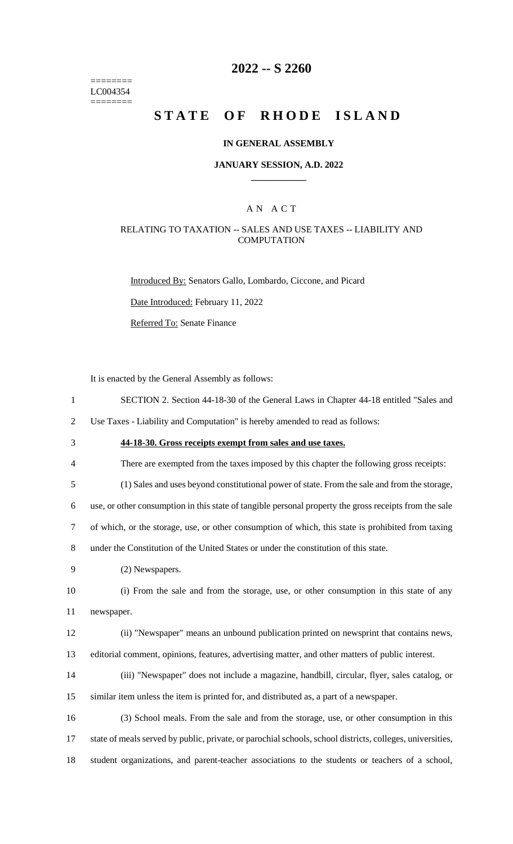======== LC004354 ========

## **2022 -- S 2260**

# **STATE OF RHODE ISLAND**

#### **IN GENERAL ASSEMBLY**

#### **JANUARY SESSION, A.D. 2022 \_\_\_\_\_\_\_\_\_\_\_\_**

## A N A C T

### RELATING TO TAXATION -- SALES AND USE TAXES -- LIABILITY AND **COMPUTATION**

Introduced By: Senators Gallo, Lombardo, Ciccone, and Picard

Date Introduced: February 11, 2022

Referred To: Senate Finance

It is enacted by the General Assembly as follows:

1 SECTION 2. Section 44-18-30 of the General Laws in Chapter 44-18 entitled "Sales and

2 Use Taxes - Liability and Computation" is hereby amended to read as follows:

- 3 **44-18-30. Gross receipts exempt from sales and use taxes.**
- 4 There are exempted from the taxes imposed by this chapter the following gross receipts:

5 (1) Sales and uses beyond constitutional power of state. From the sale and from the storage,

6 use, or other consumption in this state of tangible personal property the gross receipts from the sale

7 of which, or the storage, use, or other consumption of which, this state is prohibited from taxing

8 under the Constitution of the United States or under the constitution of this state.

9 (2) Newspapers.

10 (i) From the sale and from the storage, use, or other consumption in this state of any 11 newspaper.

12 (ii) "Newspaper" means an unbound publication printed on newsprint that contains news, 13 editorial comment, opinions, features, advertising matter, and other matters of public interest.

14 (iii) "Newspaper" does not include a magazine, handbill, circular, flyer, sales catalog, or 15 similar item unless the item is printed for, and distributed as, a part of a newspaper.

16 (3) School meals. From the sale and from the storage, use, or other consumption in this 17 state of meals served by public, private, or parochial schools, school districts, colleges, universities, 18 student organizations, and parent-teacher associations to the students or teachers of a school,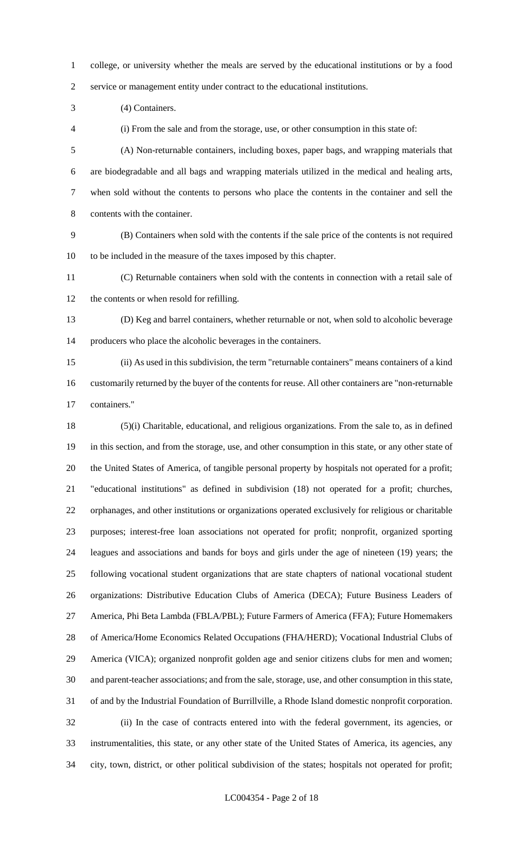college, or university whether the meals are served by the educational institutions or by a food service or management entity under contract to the educational institutions.

(4) Containers.

(i) From the sale and from the storage, use, or other consumption in this state of:

 (A) Non-returnable containers, including boxes, paper bags, and wrapping materials that are biodegradable and all bags and wrapping materials utilized in the medical and healing arts, when sold without the contents to persons who place the contents in the container and sell the contents with the container.

 (B) Containers when sold with the contents if the sale price of the contents is not required to be included in the measure of the taxes imposed by this chapter.

 (C) Returnable containers when sold with the contents in connection with a retail sale of the contents or when resold for refilling.

 (D) Keg and barrel containers, whether returnable or not, when sold to alcoholic beverage producers who place the alcoholic beverages in the containers.

 (ii) As used in this subdivision, the term "returnable containers" means containers of a kind customarily returned by the buyer of the contents for reuse. All other containers are "non-returnable containers."

 (5)(i) Charitable, educational, and religious organizations. From the sale to, as in defined in this section, and from the storage, use, and other consumption in this state, or any other state of the United States of America, of tangible personal property by hospitals not operated for a profit; "educational institutions" as defined in subdivision (18) not operated for a profit; churches, orphanages, and other institutions or organizations operated exclusively for religious or charitable purposes; interest-free loan associations not operated for profit; nonprofit, organized sporting leagues and associations and bands for boys and girls under the age of nineteen (19) years; the following vocational student organizations that are state chapters of national vocational student organizations: Distributive Education Clubs of America (DECA); Future Business Leaders of America, Phi Beta Lambda (FBLA/PBL); Future Farmers of America (FFA); Future Homemakers of America/Home Economics Related Occupations (FHA/HERD); Vocational Industrial Clubs of America (VICA); organized nonprofit golden age and senior citizens clubs for men and women; and parent-teacher associations; and from the sale, storage, use, and other consumption in this state, of and by the Industrial Foundation of Burrillville, a Rhode Island domestic nonprofit corporation. (ii) In the case of contracts entered into with the federal government, its agencies, or instrumentalities, this state, or any other state of the United States of America, its agencies, any city, town, district, or other political subdivision of the states; hospitals not operated for profit;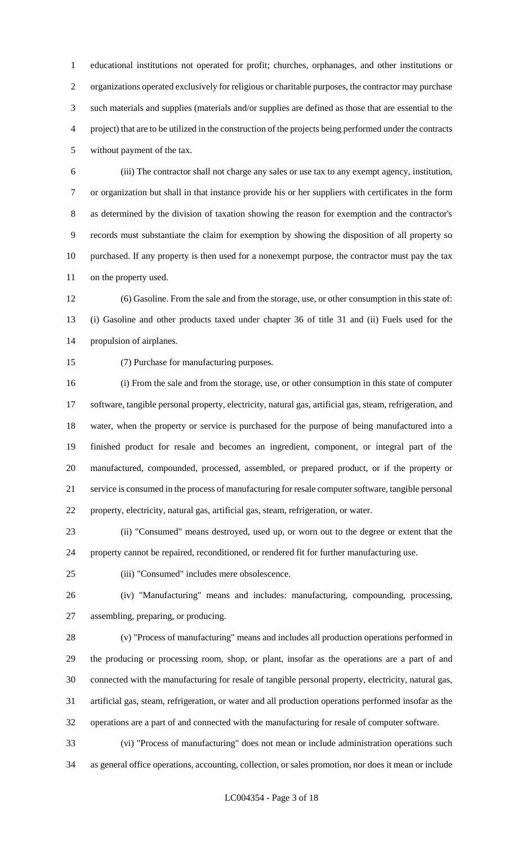educational institutions not operated for profit; churches, orphanages, and other institutions or organizations operated exclusively for religious or charitable purposes, the contractor may purchase such materials and supplies (materials and/or supplies are defined as those that are essential to the project) that are to be utilized in the construction of the projects being performed under the contracts without payment of the tax.

 (iii) The contractor shall not charge any sales or use tax to any exempt agency, institution, or organization but shall in that instance provide his or her suppliers with certificates in the form as determined by the division of taxation showing the reason for exemption and the contractor's records must substantiate the claim for exemption by showing the disposition of all property so purchased. If any property is then used for a nonexempt purpose, the contractor must pay the tax on the property used.

 (6) Gasoline. From the sale and from the storage, use, or other consumption in this state of: (i) Gasoline and other products taxed under chapter 36 of title 31 and (ii) Fuels used for the propulsion of airplanes.

(7) Purchase for manufacturing purposes.

 (i) From the sale and from the storage, use, or other consumption in this state of computer software, tangible personal property, electricity, natural gas, artificial gas, steam, refrigeration, and water, when the property or service is purchased for the purpose of being manufactured into a finished product for resale and becomes an ingredient, component, or integral part of the manufactured, compounded, processed, assembled, or prepared product, or if the property or service is consumed in the process of manufacturing for resale computer software, tangible personal property, electricity, natural gas, artificial gas, steam, refrigeration, or water.

 (ii) "Consumed" means destroyed, used up, or worn out to the degree or extent that the property cannot be repaired, reconditioned, or rendered fit for further manufacturing use.

(iii) "Consumed" includes mere obsolescence.

 (iv) "Manufacturing" means and includes: manufacturing, compounding, processing, assembling, preparing, or producing.

 (v) "Process of manufacturing" means and includes all production operations performed in the producing or processing room, shop, or plant, insofar as the operations are a part of and connected with the manufacturing for resale of tangible personal property, electricity, natural gas, artificial gas, steam, refrigeration, or water and all production operations performed insofar as the operations are a part of and connected with the manufacturing for resale of computer software.

 (vi) "Process of manufacturing" does not mean or include administration operations such as general office operations, accounting, collection, or sales promotion, nor does it mean or include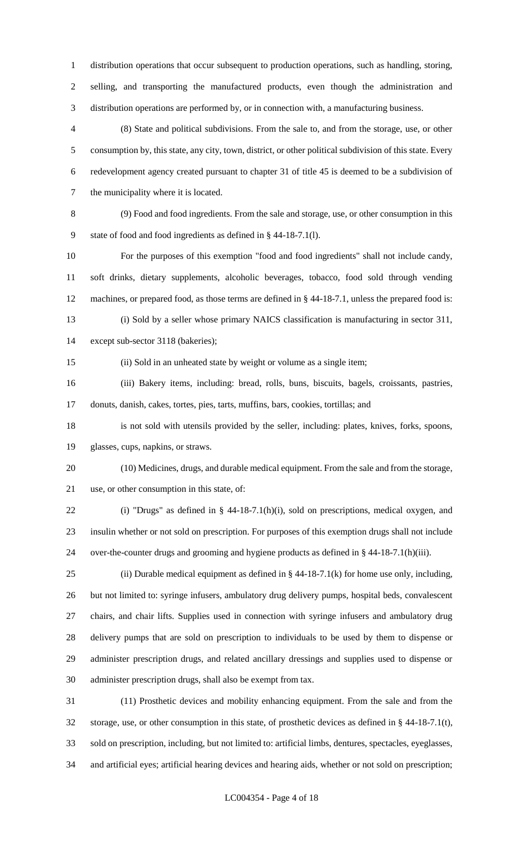distribution operations that occur subsequent to production operations, such as handling, storing, selling, and transporting the manufactured products, even though the administration and distribution operations are performed by, or in connection with, a manufacturing business.

 (8) State and political subdivisions. From the sale to, and from the storage, use, or other consumption by, this state, any city, town, district, or other political subdivision of this state. Every redevelopment agency created pursuant to chapter 31 of title 45 is deemed to be a subdivision of the municipality where it is located.

 (9) Food and food ingredients. From the sale and storage, use, or other consumption in this state of food and food ingredients as defined in § 44-18-7.1(l).

 For the purposes of this exemption "food and food ingredients" shall not include candy, soft drinks, dietary supplements, alcoholic beverages, tobacco, food sold through vending machines, or prepared food, as those terms are defined in § 44-18-7.1, unless the prepared food is: (i) Sold by a seller whose primary NAICS classification is manufacturing in sector 311,

except sub-sector 3118 (bakeries);

(ii) Sold in an unheated state by weight or volume as a single item;

 (iii) Bakery items, including: bread, rolls, buns, biscuits, bagels, croissants, pastries, donuts, danish, cakes, tortes, pies, tarts, muffins, bars, cookies, tortillas; and

 is not sold with utensils provided by the seller, including: plates, knives, forks, spoons, glasses, cups, napkins, or straws.

 (10) Medicines, drugs, and durable medical equipment. From the sale and from the storage, use, or other consumption in this state, of:

 (i) "Drugs" as defined in § 44-18-7.1(h)(i), sold on prescriptions, medical oxygen, and insulin whether or not sold on prescription. For purposes of this exemption drugs shall not include over-the-counter drugs and grooming and hygiene products as defined in § 44-18-7.1(h)(iii).

25 (ii) Durable medical equipment as defined in  $\S$  44-18-7.1(k) for home use only, including, but not limited to: syringe infusers, ambulatory drug delivery pumps, hospital beds, convalescent chairs, and chair lifts. Supplies used in connection with syringe infusers and ambulatory drug delivery pumps that are sold on prescription to individuals to be used by them to dispense or administer prescription drugs, and related ancillary dressings and supplies used to dispense or administer prescription drugs, shall also be exempt from tax.

 (11) Prosthetic devices and mobility enhancing equipment. From the sale and from the storage, use, or other consumption in this state, of prosthetic devices as defined in § 44-18-7.1(t), sold on prescription, including, but not limited to: artificial limbs, dentures, spectacles, eyeglasses, and artificial eyes; artificial hearing devices and hearing aids, whether or not sold on prescription;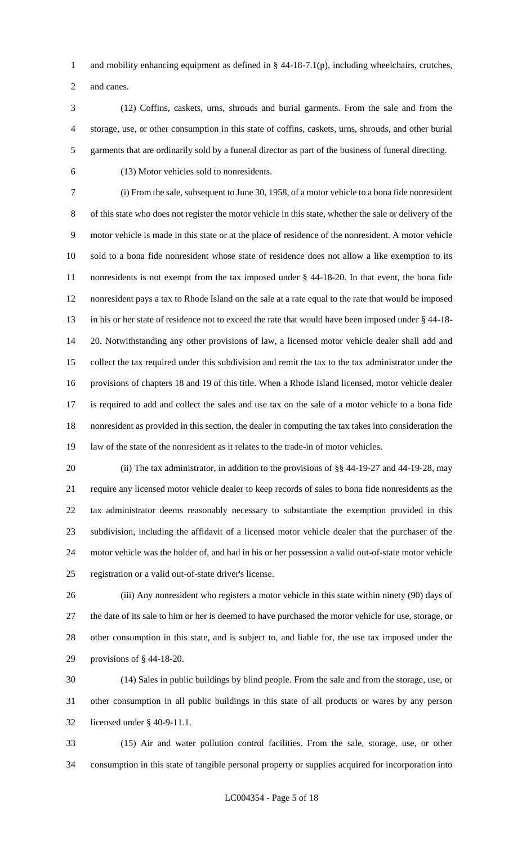and mobility enhancing equipment as defined in § 44-18-7.1(p), including wheelchairs, crutches, and canes.

 (12) Coffins, caskets, urns, shrouds and burial garments. From the sale and from the storage, use, or other consumption in this state of coffins, caskets, urns, shrouds, and other burial garments that are ordinarily sold by a funeral director as part of the business of funeral directing.

(13) Motor vehicles sold to nonresidents.

 (i) From the sale, subsequent to June 30, 1958, of a motor vehicle to a bona fide nonresident of this state who does not register the motor vehicle in this state, whether the sale or delivery of the motor vehicle is made in this state or at the place of residence of the nonresident. A motor vehicle sold to a bona fide nonresident whose state of residence does not allow a like exemption to its nonresidents is not exempt from the tax imposed under § 44-18-20. In that event, the bona fide nonresident pays a tax to Rhode Island on the sale at a rate equal to the rate that would be imposed in his or her state of residence not to exceed the rate that would have been imposed under § 44-18- 20. Notwithstanding any other provisions of law, a licensed motor vehicle dealer shall add and collect the tax required under this subdivision and remit the tax to the tax administrator under the provisions of chapters 18 and 19 of this title. When a Rhode Island licensed, motor vehicle dealer is required to add and collect the sales and use tax on the sale of a motor vehicle to a bona fide nonresident as provided in this section, the dealer in computing the tax takes into consideration the law of the state of the nonresident as it relates to the trade-in of motor vehicles.

20 (ii) The tax administrator, in addition to the provisions of §§ 44-19-27 and 44-19-28, may require any licensed motor vehicle dealer to keep records of sales to bona fide nonresidents as the tax administrator deems reasonably necessary to substantiate the exemption provided in this subdivision, including the affidavit of a licensed motor vehicle dealer that the purchaser of the motor vehicle was the holder of, and had in his or her possession a valid out-of-state motor vehicle registration or a valid out-of-state driver's license.

 (iii) Any nonresident who registers a motor vehicle in this state within ninety (90) days of the date of its sale to him or her is deemed to have purchased the motor vehicle for use, storage, or other consumption in this state, and is subject to, and liable for, the use tax imposed under the provisions of § 44-18-20.

 (14) Sales in public buildings by blind people. From the sale and from the storage, use, or other consumption in all public buildings in this state of all products or wares by any person licensed under § 40-9-11.1.

 (15) Air and water pollution control facilities. From the sale, storage, use, or other consumption in this state of tangible personal property or supplies acquired for incorporation into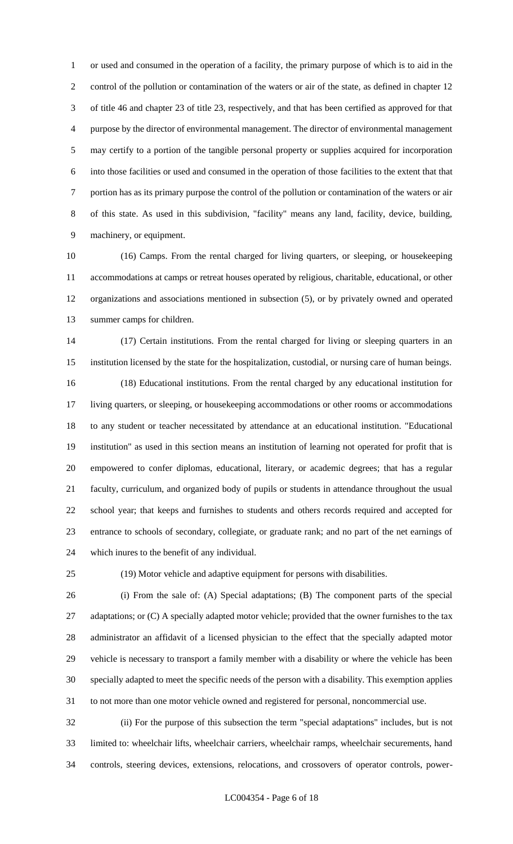or used and consumed in the operation of a facility, the primary purpose of which is to aid in the control of the pollution or contamination of the waters or air of the state, as defined in chapter 12 of title 46 and chapter 23 of title 23, respectively, and that has been certified as approved for that purpose by the director of environmental management. The director of environmental management may certify to a portion of the tangible personal property or supplies acquired for incorporation into those facilities or used and consumed in the operation of those facilities to the extent that that portion has as its primary purpose the control of the pollution or contamination of the waters or air of this state. As used in this subdivision, "facility" means any land, facility, device, building, machinery, or equipment.

 (16) Camps. From the rental charged for living quarters, or sleeping, or housekeeping accommodations at camps or retreat houses operated by religious, charitable, educational, or other organizations and associations mentioned in subsection (5), or by privately owned and operated summer camps for children.

 (17) Certain institutions. From the rental charged for living or sleeping quarters in an institution licensed by the state for the hospitalization, custodial, or nursing care of human beings. (18) Educational institutions. From the rental charged by any educational institution for living quarters, or sleeping, or housekeeping accommodations or other rooms or accommodations to any student or teacher necessitated by attendance at an educational institution. "Educational institution" as used in this section means an institution of learning not operated for profit that is empowered to confer diplomas, educational, literary, or academic degrees; that has a regular faculty, curriculum, and organized body of pupils or students in attendance throughout the usual school year; that keeps and furnishes to students and others records required and accepted for entrance to schools of secondary, collegiate, or graduate rank; and no part of the net earnings of which inures to the benefit of any individual.

(19) Motor vehicle and adaptive equipment for persons with disabilities.

 (i) From the sale of: (A) Special adaptations; (B) The component parts of the special 27 adaptations; or (C) A specially adapted motor vehicle; provided that the owner furnishes to the tax administrator an affidavit of a licensed physician to the effect that the specially adapted motor vehicle is necessary to transport a family member with a disability or where the vehicle has been specially adapted to meet the specific needs of the person with a disability. This exemption applies to not more than one motor vehicle owned and registered for personal, noncommercial use.

 (ii) For the purpose of this subsection the term "special adaptations" includes, but is not limited to: wheelchair lifts, wheelchair carriers, wheelchair ramps, wheelchair securements, hand controls, steering devices, extensions, relocations, and crossovers of operator controls, power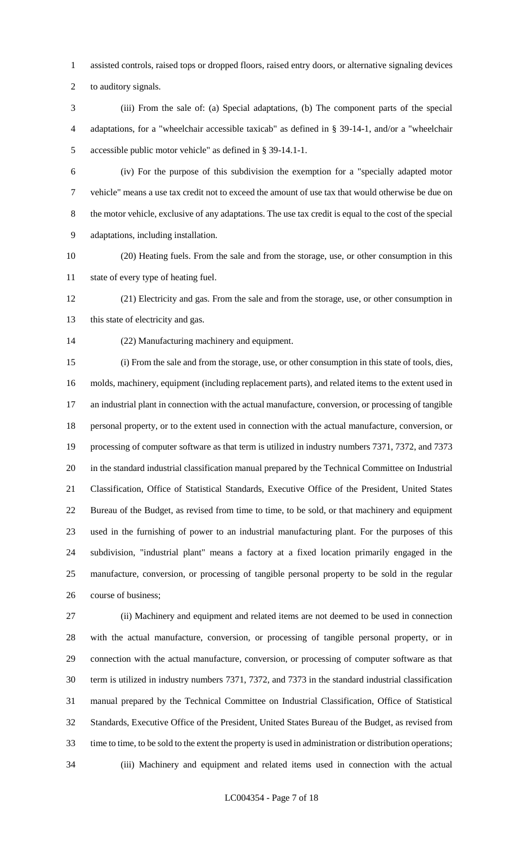assisted controls, raised tops or dropped floors, raised entry doors, or alternative signaling devices

to auditory signals.

 (iii) From the sale of: (a) Special adaptations, (b) The component parts of the special adaptations, for a "wheelchair accessible taxicab" as defined in § 39-14-1, and/or a "wheelchair accessible public motor vehicle" as defined in § 39-14.1-1.

 (iv) For the purpose of this subdivision the exemption for a "specially adapted motor vehicle" means a use tax credit not to exceed the amount of use tax that would otherwise be due on the motor vehicle, exclusive of any adaptations. The use tax credit is equal to the cost of the special adaptations, including installation.

 (20) Heating fuels. From the sale and from the storage, use, or other consumption in this state of every type of heating fuel.

 (21) Electricity and gas. From the sale and from the storage, use, or other consumption in 13 this state of electricity and gas.

(22) Manufacturing machinery and equipment.

 (i) From the sale and from the storage, use, or other consumption in this state of tools, dies, molds, machinery, equipment (including replacement parts), and related items to the extent used in an industrial plant in connection with the actual manufacture, conversion, or processing of tangible personal property, or to the extent used in connection with the actual manufacture, conversion, or processing of computer software as that term is utilized in industry numbers 7371, 7372, and 7373 in the standard industrial classification manual prepared by the Technical Committee on Industrial Classification, Office of Statistical Standards, Executive Office of the President, United States Bureau of the Budget, as revised from time to time, to be sold, or that machinery and equipment used in the furnishing of power to an industrial manufacturing plant. For the purposes of this subdivision, "industrial plant" means a factory at a fixed location primarily engaged in the manufacture, conversion, or processing of tangible personal property to be sold in the regular course of business;

 (ii) Machinery and equipment and related items are not deemed to be used in connection with the actual manufacture, conversion, or processing of tangible personal property, or in connection with the actual manufacture, conversion, or processing of computer software as that term is utilized in industry numbers 7371, 7372, and 7373 in the standard industrial classification manual prepared by the Technical Committee on Industrial Classification, Office of Statistical Standards, Executive Office of the President, United States Bureau of the Budget, as revised from time to time, to be sold to the extent the property is used in administration or distribution operations; (iii) Machinery and equipment and related items used in connection with the actual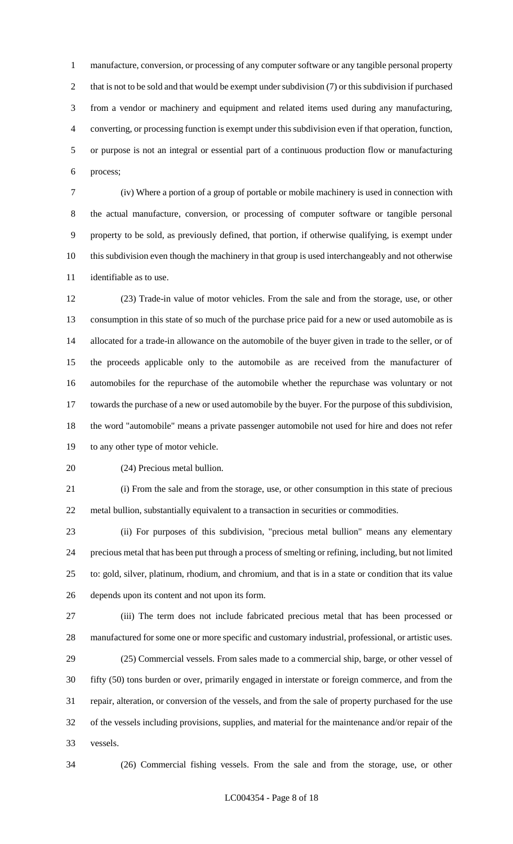manufacture, conversion, or processing of any computer software or any tangible personal property 2 that is not to be sold and that would be exempt under subdivision (7) or this subdivision if purchased from a vendor or machinery and equipment and related items used during any manufacturing, converting, or processing function is exempt under this subdivision even if that operation, function, or purpose is not an integral or essential part of a continuous production flow or manufacturing process;

 (iv) Where a portion of a group of portable or mobile machinery is used in connection with the actual manufacture, conversion, or processing of computer software or tangible personal property to be sold, as previously defined, that portion, if otherwise qualifying, is exempt under this subdivision even though the machinery in that group is used interchangeably and not otherwise identifiable as to use.

 (23) Trade-in value of motor vehicles. From the sale and from the storage, use, or other consumption in this state of so much of the purchase price paid for a new or used automobile as is allocated for a trade-in allowance on the automobile of the buyer given in trade to the seller, or of the proceeds applicable only to the automobile as are received from the manufacturer of automobiles for the repurchase of the automobile whether the repurchase was voluntary or not towards the purchase of a new or used automobile by the buyer. For the purpose of this subdivision, the word "automobile" means a private passenger automobile not used for hire and does not refer to any other type of motor vehicle.

(24) Precious metal bullion.

 (i) From the sale and from the storage, use, or other consumption in this state of precious metal bullion, substantially equivalent to a transaction in securities or commodities.

 (ii) For purposes of this subdivision, "precious metal bullion" means any elementary precious metal that has been put through a process of smelting or refining, including, but not limited to: gold, silver, platinum, rhodium, and chromium, and that is in a state or condition that its value depends upon its content and not upon its form.

 (iii) The term does not include fabricated precious metal that has been processed or manufactured for some one or more specific and customary industrial, professional, or artistic uses.

 (25) Commercial vessels. From sales made to a commercial ship, barge, or other vessel of fifty (50) tons burden or over, primarily engaged in interstate or foreign commerce, and from the repair, alteration, or conversion of the vessels, and from the sale of property purchased for the use of the vessels including provisions, supplies, and material for the maintenance and/or repair of the vessels.

(26) Commercial fishing vessels. From the sale and from the storage, use, or other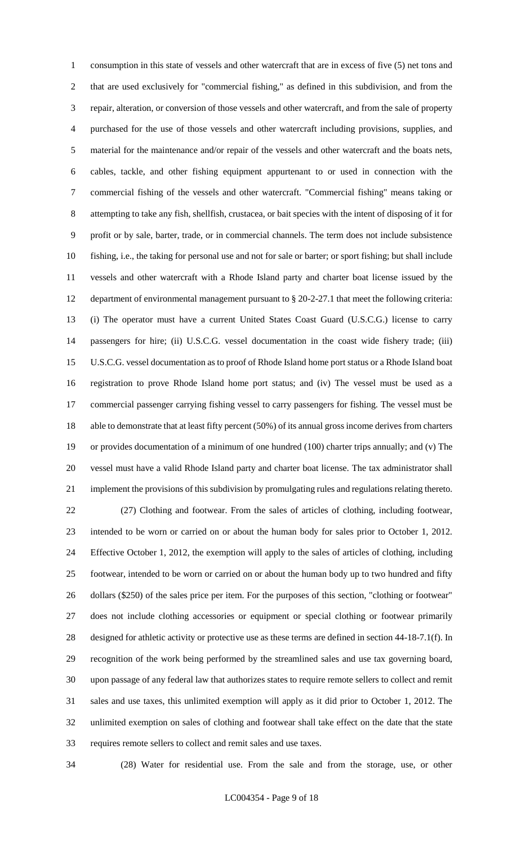consumption in this state of vessels and other watercraft that are in excess of five (5) net tons and that are used exclusively for "commercial fishing," as defined in this subdivision, and from the repair, alteration, or conversion of those vessels and other watercraft, and from the sale of property purchased for the use of those vessels and other watercraft including provisions, supplies, and material for the maintenance and/or repair of the vessels and other watercraft and the boats nets, cables, tackle, and other fishing equipment appurtenant to or used in connection with the commercial fishing of the vessels and other watercraft. "Commercial fishing" means taking or attempting to take any fish, shellfish, crustacea, or bait species with the intent of disposing of it for profit or by sale, barter, trade, or in commercial channels. The term does not include subsistence fishing, i.e., the taking for personal use and not for sale or barter; or sport fishing; but shall include vessels and other watercraft with a Rhode Island party and charter boat license issued by the department of environmental management pursuant to § 20-2-27.1 that meet the following criteria: (i) The operator must have a current United States Coast Guard (U.S.C.G.) license to carry passengers for hire; (ii) U.S.C.G. vessel documentation in the coast wide fishery trade; (iii) U.S.C.G. vessel documentation as to proof of Rhode Island home port status or a Rhode Island boat registration to prove Rhode Island home port status; and (iv) The vessel must be used as a commercial passenger carrying fishing vessel to carry passengers for fishing. The vessel must be able to demonstrate that at least fifty percent (50%) of its annual gross income derives from charters or provides documentation of a minimum of one hundred (100) charter trips annually; and (v) The vessel must have a valid Rhode Island party and charter boat license. The tax administrator shall implement the provisions of this subdivision by promulgating rules and regulations relating thereto. (27) Clothing and footwear. From the sales of articles of clothing, including footwear, intended to be worn or carried on or about the human body for sales prior to October 1, 2012. Effective October 1, 2012, the exemption will apply to the sales of articles of clothing, including footwear, intended to be worn or carried on or about the human body up to two hundred and fifty dollars (\$250) of the sales price per item. For the purposes of this section, "clothing or footwear" does not include clothing accessories or equipment or special clothing or footwear primarily designed for athletic activity or protective use as these terms are defined in section 44-18-7.1(f). In recognition of the work being performed by the streamlined sales and use tax governing board, upon passage of any federal law that authorizes states to require remote sellers to collect and remit sales and use taxes, this unlimited exemption will apply as it did prior to October 1, 2012. The unlimited exemption on sales of clothing and footwear shall take effect on the date that the state requires remote sellers to collect and remit sales and use taxes.

(28) Water for residential use. From the sale and from the storage, use, or other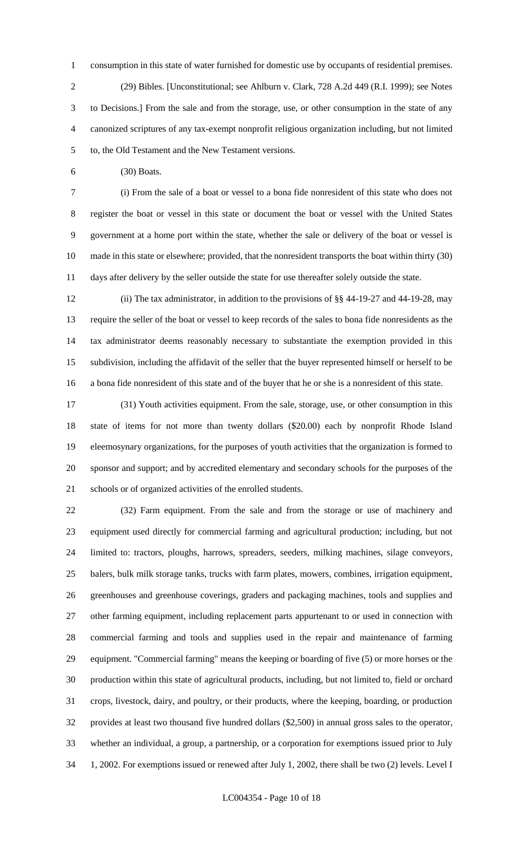consumption in this state of water furnished for domestic use by occupants of residential premises. (29) Bibles. [Unconstitutional; see Ahlburn v. Clark, 728 A.2d 449 (R.I. 1999); see Notes to Decisions.] From the sale and from the storage, use, or other consumption in the state of any canonized scriptures of any tax-exempt nonprofit religious organization including, but not limited to, the Old Testament and the New Testament versions.

(30) Boats.

 (i) From the sale of a boat or vessel to a bona fide nonresident of this state who does not register the boat or vessel in this state or document the boat or vessel with the United States government at a home port within the state, whether the sale or delivery of the boat or vessel is made in this state or elsewhere; provided, that the nonresident transports the boat within thirty (30) days after delivery by the seller outside the state for use thereafter solely outside the state.

 (ii) The tax administrator, in addition to the provisions of §§ 44-19-27 and 44-19-28, may require the seller of the boat or vessel to keep records of the sales to bona fide nonresidents as the tax administrator deems reasonably necessary to substantiate the exemption provided in this subdivision, including the affidavit of the seller that the buyer represented himself or herself to be a bona fide nonresident of this state and of the buyer that he or she is a nonresident of this state.

 (31) Youth activities equipment. From the sale, storage, use, or other consumption in this state of items for not more than twenty dollars (\$20.00) each by nonprofit Rhode Island eleemosynary organizations, for the purposes of youth activities that the organization is formed to sponsor and support; and by accredited elementary and secondary schools for the purposes of the schools or of organized activities of the enrolled students.

 (32) Farm equipment. From the sale and from the storage or use of machinery and equipment used directly for commercial farming and agricultural production; including, but not limited to: tractors, ploughs, harrows, spreaders, seeders, milking machines, silage conveyors, balers, bulk milk storage tanks, trucks with farm plates, mowers, combines, irrigation equipment, greenhouses and greenhouse coverings, graders and packaging machines, tools and supplies and other farming equipment, including replacement parts appurtenant to or used in connection with commercial farming and tools and supplies used in the repair and maintenance of farming equipment. "Commercial farming" means the keeping or boarding of five (5) or more horses or the production within this state of agricultural products, including, but not limited to, field or orchard crops, livestock, dairy, and poultry, or their products, where the keeping, boarding, or production provides at least two thousand five hundred dollars (\$2,500) in annual gross sales to the operator, whether an individual, a group, a partnership, or a corporation for exemptions issued prior to July 1, 2002. For exemptions issued or renewed after July 1, 2002, there shall be two (2) levels. Level I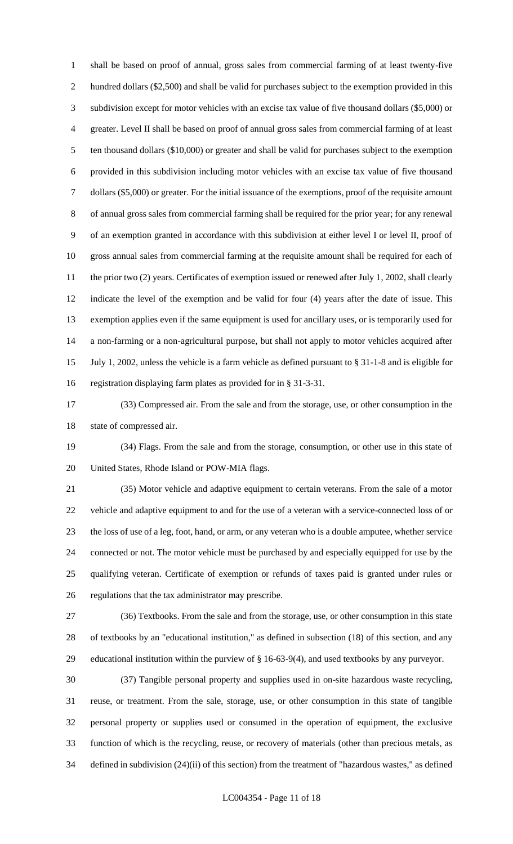shall be based on proof of annual, gross sales from commercial farming of at least twenty-five hundred dollars (\$2,500) and shall be valid for purchases subject to the exemption provided in this subdivision except for motor vehicles with an excise tax value of five thousand dollars (\$5,000) or greater. Level II shall be based on proof of annual gross sales from commercial farming of at least ten thousand dollars (\$10,000) or greater and shall be valid for purchases subject to the exemption provided in this subdivision including motor vehicles with an excise tax value of five thousand dollars (\$5,000) or greater. For the initial issuance of the exemptions, proof of the requisite amount of annual gross sales from commercial farming shall be required for the prior year; for any renewal of an exemption granted in accordance with this subdivision at either level I or level II, proof of gross annual sales from commercial farming at the requisite amount shall be required for each of 11 the prior two (2) years. Certificates of exemption issued or renewed after July 1, 2002, shall clearly indicate the level of the exemption and be valid for four (4) years after the date of issue. This exemption applies even if the same equipment is used for ancillary uses, or is temporarily used for a non-farming or a non-agricultural purpose, but shall not apply to motor vehicles acquired after July 1, 2002, unless the vehicle is a farm vehicle as defined pursuant to § 31-1-8 and is eligible for registration displaying farm plates as provided for in § 31-3-31.

 (33) Compressed air. From the sale and from the storage, use, or other consumption in the state of compressed air.

 (34) Flags. From the sale and from the storage, consumption, or other use in this state of United States, Rhode Island or POW-MIA flags.

 (35) Motor vehicle and adaptive equipment to certain veterans. From the sale of a motor vehicle and adaptive equipment to and for the use of a veteran with a service-connected loss of or the loss of use of a leg, foot, hand, or arm, or any veteran who is a double amputee, whether service connected or not. The motor vehicle must be purchased by and especially equipped for use by the qualifying veteran. Certificate of exemption or refunds of taxes paid is granted under rules or regulations that the tax administrator may prescribe.

 (36) Textbooks. From the sale and from the storage, use, or other consumption in this state of textbooks by an "educational institution," as defined in subsection (18) of this section, and any educational institution within the purview of § 16-63-9(4), and used textbooks by any purveyor.

 (37) Tangible personal property and supplies used in on-site hazardous waste recycling, reuse, or treatment. From the sale, storage, use, or other consumption in this state of tangible personal property or supplies used or consumed in the operation of equipment, the exclusive function of which is the recycling, reuse, or recovery of materials (other than precious metals, as defined in subdivision (24)(ii) of this section) from the treatment of "hazardous wastes," as defined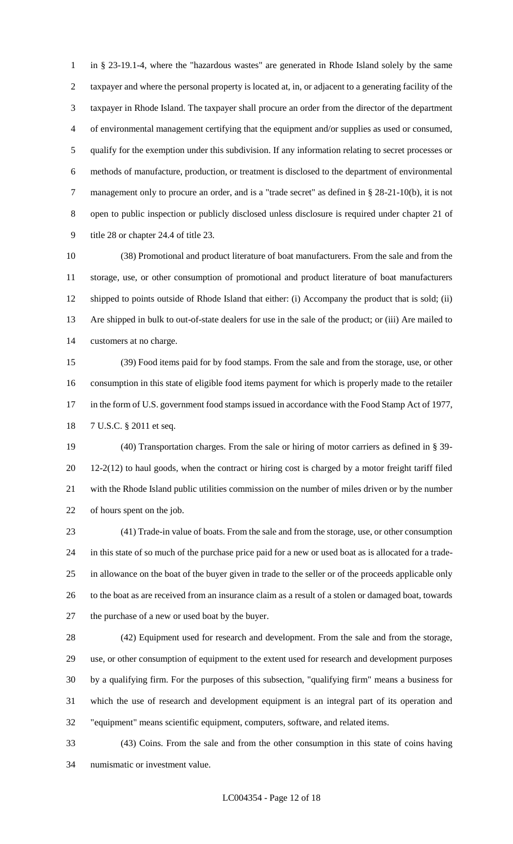in § 23-19.1-4, where the "hazardous wastes" are generated in Rhode Island solely by the same taxpayer and where the personal property is located at, in, or adjacent to a generating facility of the taxpayer in Rhode Island. The taxpayer shall procure an order from the director of the department of environmental management certifying that the equipment and/or supplies as used or consumed, qualify for the exemption under this subdivision. If any information relating to secret processes or methods of manufacture, production, or treatment is disclosed to the department of environmental management only to procure an order, and is a "trade secret" as defined in § 28-21-10(b), it is not open to public inspection or publicly disclosed unless disclosure is required under chapter 21 of title 28 or chapter 24.4 of title 23.

 (38) Promotional and product literature of boat manufacturers. From the sale and from the storage, use, or other consumption of promotional and product literature of boat manufacturers shipped to points outside of Rhode Island that either: (i) Accompany the product that is sold; (ii) Are shipped in bulk to out-of-state dealers for use in the sale of the product; or (iii) Are mailed to customers at no charge.

 (39) Food items paid for by food stamps. From the sale and from the storage, use, or other consumption in this state of eligible food items payment for which is properly made to the retailer 17 in the form of U.S. government food stamps issued in accordance with the Food Stamp Act of 1977, 7 U.S.C. § 2011 et seq.

 (40) Transportation charges. From the sale or hiring of motor carriers as defined in § 39- 12-2(12) to haul goods, when the contract or hiring cost is charged by a motor freight tariff filed with the Rhode Island public utilities commission on the number of miles driven or by the number of hours spent on the job.

 (41) Trade-in value of boats. From the sale and from the storage, use, or other consumption in this state of so much of the purchase price paid for a new or used boat as is allocated for a trade- in allowance on the boat of the buyer given in trade to the seller or of the proceeds applicable only to the boat as are received from an insurance claim as a result of a stolen or damaged boat, towards the purchase of a new or used boat by the buyer.

 (42) Equipment used for research and development. From the sale and from the storage, use, or other consumption of equipment to the extent used for research and development purposes by a qualifying firm. For the purposes of this subsection, "qualifying firm" means a business for which the use of research and development equipment is an integral part of its operation and "equipment" means scientific equipment, computers, software, and related items.

 (43) Coins. From the sale and from the other consumption in this state of coins having numismatic or investment value.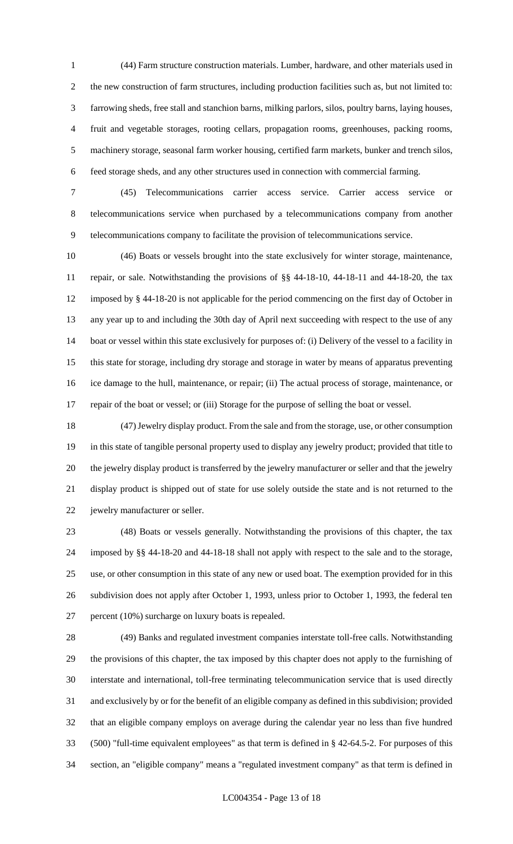(44) Farm structure construction materials. Lumber, hardware, and other materials used in the new construction of farm structures, including production facilities such as, but not limited to: farrowing sheds, free stall and stanchion barns, milking parlors, silos, poultry barns, laying houses, fruit and vegetable storages, rooting cellars, propagation rooms, greenhouses, packing rooms, machinery storage, seasonal farm worker housing, certified farm markets, bunker and trench silos, feed storage sheds, and any other structures used in connection with commercial farming.

 (45) Telecommunications carrier access service. Carrier access service or telecommunications service when purchased by a telecommunications company from another telecommunications company to facilitate the provision of telecommunications service.

 (46) Boats or vessels brought into the state exclusively for winter storage, maintenance, repair, or sale. Notwithstanding the provisions of §§ 44-18-10, 44-18-11 and 44-18-20, the tax imposed by § 44-18-20 is not applicable for the period commencing on the first day of October in any year up to and including the 30th day of April next succeeding with respect to the use of any boat or vessel within this state exclusively for purposes of: (i) Delivery of the vessel to a facility in this state for storage, including dry storage and storage in water by means of apparatus preventing ice damage to the hull, maintenance, or repair; (ii) The actual process of storage, maintenance, or repair of the boat or vessel; or (iii) Storage for the purpose of selling the boat or vessel.

 (47) Jewelry display product. From the sale and from the storage, use, or other consumption in this state of tangible personal property used to display any jewelry product; provided that title to the jewelry display product is transferred by the jewelry manufacturer or seller and that the jewelry display product is shipped out of state for use solely outside the state and is not returned to the jewelry manufacturer or seller.

 (48) Boats or vessels generally. Notwithstanding the provisions of this chapter, the tax imposed by §§ 44-18-20 and 44-18-18 shall not apply with respect to the sale and to the storage, use, or other consumption in this state of any new or used boat. The exemption provided for in this subdivision does not apply after October 1, 1993, unless prior to October 1, 1993, the federal ten percent (10%) surcharge on luxury boats is repealed.

 (49) Banks and regulated investment companies interstate toll-free calls. Notwithstanding the provisions of this chapter, the tax imposed by this chapter does not apply to the furnishing of interstate and international, toll-free terminating telecommunication service that is used directly and exclusively by or for the benefit of an eligible company as defined in this subdivision; provided that an eligible company employs on average during the calendar year no less than five hundred (500) "full-time equivalent employees" as that term is defined in § 42-64.5-2. For purposes of this section, an "eligible company" means a "regulated investment company" as that term is defined in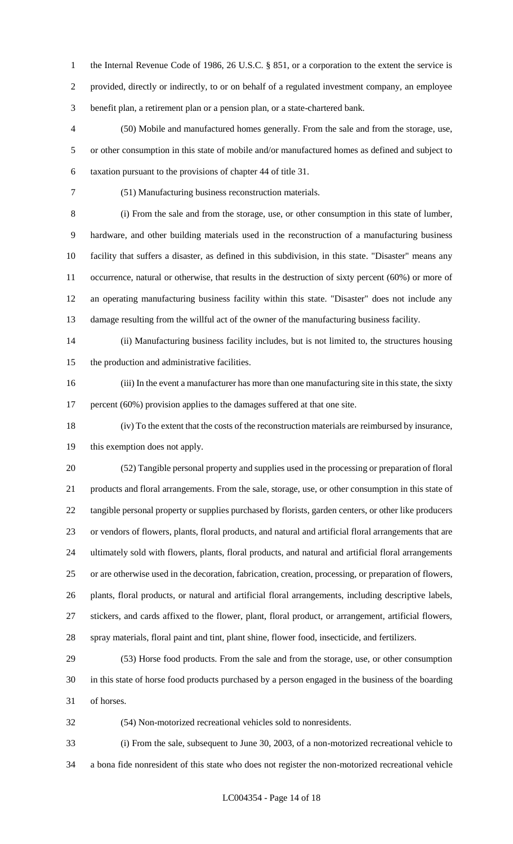1 the Internal Revenue Code of 1986, 26 U.S.C. § 851, or a corporation to the extent the service is provided, directly or indirectly, to or on behalf of a regulated investment company, an employee benefit plan, a retirement plan or a pension plan, or a state-chartered bank.

 (50) Mobile and manufactured homes generally. From the sale and from the storage, use, or other consumption in this state of mobile and/or manufactured homes as defined and subject to taxation pursuant to the provisions of chapter 44 of title 31.

(51) Manufacturing business reconstruction materials.

 (i) From the sale and from the storage, use, or other consumption in this state of lumber, hardware, and other building materials used in the reconstruction of a manufacturing business facility that suffers a disaster, as defined in this subdivision, in this state. "Disaster" means any occurrence, natural or otherwise, that results in the destruction of sixty percent (60%) or more of an operating manufacturing business facility within this state. "Disaster" does not include any damage resulting from the willful act of the owner of the manufacturing business facility.

 (ii) Manufacturing business facility includes, but is not limited to, the structures housing the production and administrative facilities.

 (iii) In the event a manufacturer has more than one manufacturing site in this state, the sixty 17 percent (60%) provision applies to the damages suffered at that one site.

 (iv) To the extent that the costs of the reconstruction materials are reimbursed by insurance, this exemption does not apply.

 (52) Tangible personal property and supplies used in the processing or preparation of floral products and floral arrangements. From the sale, storage, use, or other consumption in this state of tangible personal property or supplies purchased by florists, garden centers, or other like producers or vendors of flowers, plants, floral products, and natural and artificial floral arrangements that are ultimately sold with flowers, plants, floral products, and natural and artificial floral arrangements or are otherwise used in the decoration, fabrication, creation, processing, or preparation of flowers, plants, floral products, or natural and artificial floral arrangements, including descriptive labels, stickers, and cards affixed to the flower, plant, floral product, or arrangement, artificial flowers, spray materials, floral paint and tint, plant shine, flower food, insecticide, and fertilizers.

 (53) Horse food products. From the sale and from the storage, use, or other consumption in this state of horse food products purchased by a person engaged in the business of the boarding of horses.

(54) Non-motorized recreational vehicles sold to nonresidents.

 (i) From the sale, subsequent to June 30, 2003, of a non-motorized recreational vehicle to a bona fide nonresident of this state who does not register the non-motorized recreational vehicle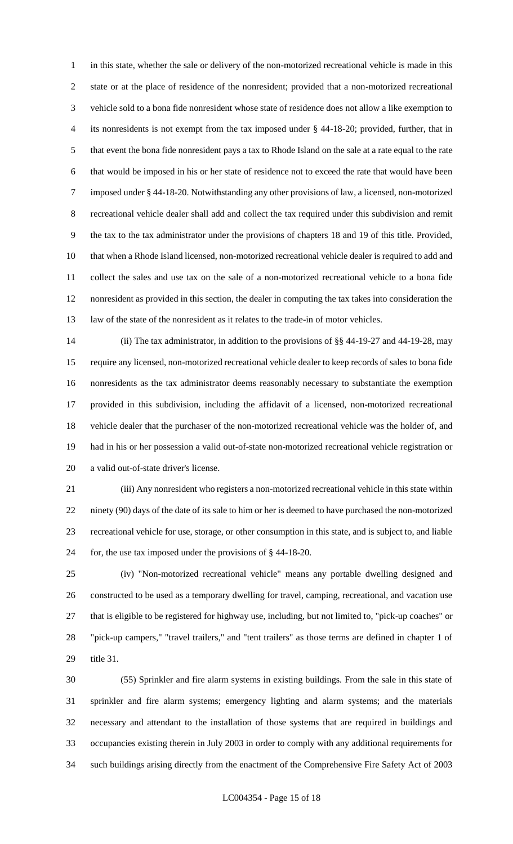in this state, whether the sale or delivery of the non-motorized recreational vehicle is made in this state or at the place of residence of the nonresident; provided that a non-motorized recreational vehicle sold to a bona fide nonresident whose state of residence does not allow a like exemption to its nonresidents is not exempt from the tax imposed under § 44-18-20; provided, further, that in that event the bona fide nonresident pays a tax to Rhode Island on the sale at a rate equal to the rate that would be imposed in his or her state of residence not to exceed the rate that would have been imposed under § 44-18-20. Notwithstanding any other provisions of law, a licensed, non-motorized recreational vehicle dealer shall add and collect the tax required under this subdivision and remit the tax to the tax administrator under the provisions of chapters 18 and 19 of this title. Provided, that when a Rhode Island licensed, non-motorized recreational vehicle dealer is required to add and collect the sales and use tax on the sale of a non-motorized recreational vehicle to a bona fide nonresident as provided in this section, the dealer in computing the tax takes into consideration the law of the state of the nonresident as it relates to the trade-in of motor vehicles.

 (ii) The tax administrator, in addition to the provisions of §§ 44-19-27 and 44-19-28, may require any licensed, non-motorized recreational vehicle dealer to keep records of sales to bona fide nonresidents as the tax administrator deems reasonably necessary to substantiate the exemption provided in this subdivision, including the affidavit of a licensed, non-motorized recreational vehicle dealer that the purchaser of the non-motorized recreational vehicle was the holder of, and had in his or her possession a valid out-of-state non-motorized recreational vehicle registration or a valid out-of-state driver's license.

 (iii) Any nonresident who registers a non-motorized recreational vehicle in this state within ninety (90) days of the date of its sale to him or her is deemed to have purchased the non-motorized recreational vehicle for use, storage, or other consumption in this state, and is subject to, and liable for, the use tax imposed under the provisions of § 44-18-20.

 (iv) "Non-motorized recreational vehicle" means any portable dwelling designed and constructed to be used as a temporary dwelling for travel, camping, recreational, and vacation use that is eligible to be registered for highway use, including, but not limited to, "pick-up coaches" or "pick-up campers," "travel trailers," and "tent trailers" as those terms are defined in chapter 1 of title 31.

 (55) Sprinkler and fire alarm systems in existing buildings. From the sale in this state of sprinkler and fire alarm systems; emergency lighting and alarm systems; and the materials necessary and attendant to the installation of those systems that are required in buildings and occupancies existing therein in July 2003 in order to comply with any additional requirements for such buildings arising directly from the enactment of the Comprehensive Fire Safety Act of 2003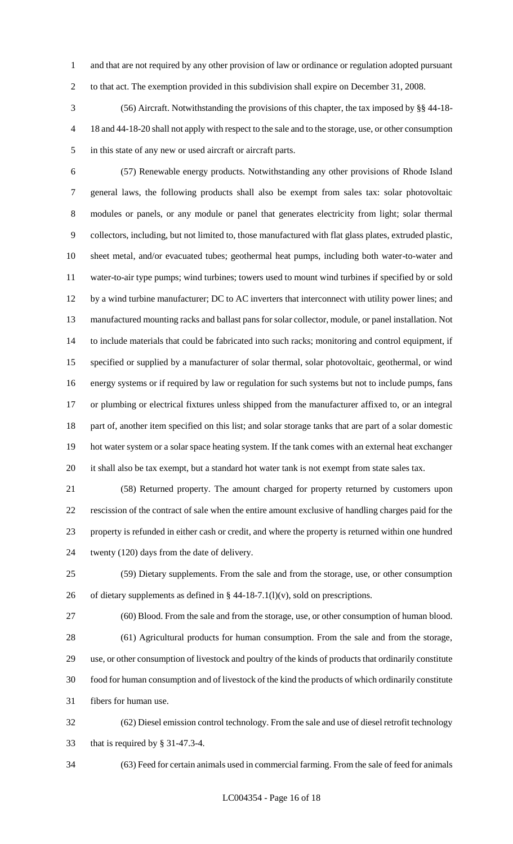and that are not required by any other provision of law or ordinance or regulation adopted pursuant to that act. The exemption provided in this subdivision shall expire on December 31, 2008.

 (56) Aircraft. Notwithstanding the provisions of this chapter, the tax imposed by §§ 44-18- 18 and 44-18-20 shall not apply with respect to the sale and to the storage, use, or other consumption in this state of any new or used aircraft or aircraft parts.

 (57) Renewable energy products. Notwithstanding any other provisions of Rhode Island general laws, the following products shall also be exempt from sales tax: solar photovoltaic modules or panels, or any module or panel that generates electricity from light; solar thermal collectors, including, but not limited to, those manufactured with flat glass plates, extruded plastic, sheet metal, and/or evacuated tubes; geothermal heat pumps, including both water-to-water and water-to-air type pumps; wind turbines; towers used to mount wind turbines if specified by or sold by a wind turbine manufacturer; DC to AC inverters that interconnect with utility power lines; and manufactured mounting racks and ballast pans for solar collector, module, or panel installation. Not to include materials that could be fabricated into such racks; monitoring and control equipment, if specified or supplied by a manufacturer of solar thermal, solar photovoltaic, geothermal, or wind energy systems or if required by law or regulation for such systems but not to include pumps, fans or plumbing or electrical fixtures unless shipped from the manufacturer affixed to, or an integral part of, another item specified on this list; and solar storage tanks that are part of a solar domestic hot water system or a solar space heating system. If the tank comes with an external heat exchanger it shall also be tax exempt, but a standard hot water tank is not exempt from state sales tax.

 (58) Returned property. The amount charged for property returned by customers upon rescission of the contract of sale when the entire amount exclusive of handling charges paid for the property is refunded in either cash or credit, and where the property is returned within one hundred twenty (120) days from the date of delivery.

 (59) Dietary supplements. From the sale and from the storage, use, or other consumption 26 of dietary supplements as defined in  $\S$  44-18-7.1(l)(v), sold on prescriptions.

 (60) Blood. From the sale and from the storage, use, or other consumption of human blood. (61) Agricultural products for human consumption. From the sale and from the storage, use, or other consumption of livestock and poultry of the kinds of products that ordinarily constitute food for human consumption and of livestock of the kind the products of which ordinarily constitute

fibers for human use.

 (62) Diesel emission control technology. From the sale and use of diesel retrofit technology that is required by § 31-47.3-4.

(63) Feed for certain animals used in commercial farming. From the sale of feed for animals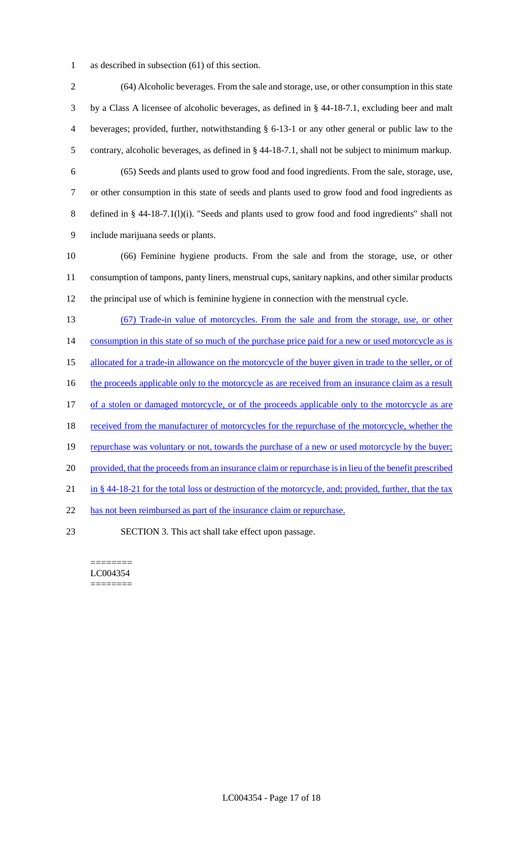1 as described in subsection (61) of this section.

 (64) Alcoholic beverages. From the sale and storage, use, or other consumption in this state by a Class A licensee of alcoholic beverages, as defined in § 44-18-7.1, excluding beer and malt beverages; provided, further, notwithstanding § 6-13-1 or any other general or public law to the contrary, alcoholic beverages, as defined in § 44-18-7.1, shall not be subject to minimum markup. (65) Seeds and plants used to grow food and food ingredients. From the sale, storage, use, or other consumption in this state of seeds and plants used to grow food and food ingredients as defined in § 44-18-7.1(l)(i). "Seeds and plants used to grow food and food ingredients" shall not include marijuana seeds or plants. (66) Feminine hygiene products. From the sale and from the storage, use, or other consumption of tampons, panty liners, menstrual cups, sanitary napkins, and other similar products the principal use of which is feminine hygiene in connection with the menstrual cycle. (67) Trade-in value of motorcycles. From the sale and from the storage, use, or other 14 consumption in this state of so much of the purchase price paid for a new or used motorcycle as is allocated for a trade-in allowance on the motorcycle of the buyer given in trade to the seller, or of 16 the proceeds applicable only to the motorcycle as are received from an insurance claim as a result 17 of a stolen or damaged motorcycle, or of the proceeds applicable only to the motorcycle as are 18 received from the manufacturer of motorcycles for the repurchase of the motorcycle, whether the 19 repurchase was voluntary or not, towards the purchase of a new or used motorcycle by the buyer; 20 provided, that the proceeds from an insurance claim or repurchase is in lieu of the benefit prescribed 21 in § 44-18-21 for the total loss or destruction of the motorcycle, and; provided, further, that the tax 22 has not been reimbursed as part of the insurance claim or repurchase. SECTION 3. This act shall take effect upon passage.

======== LC004354 ========